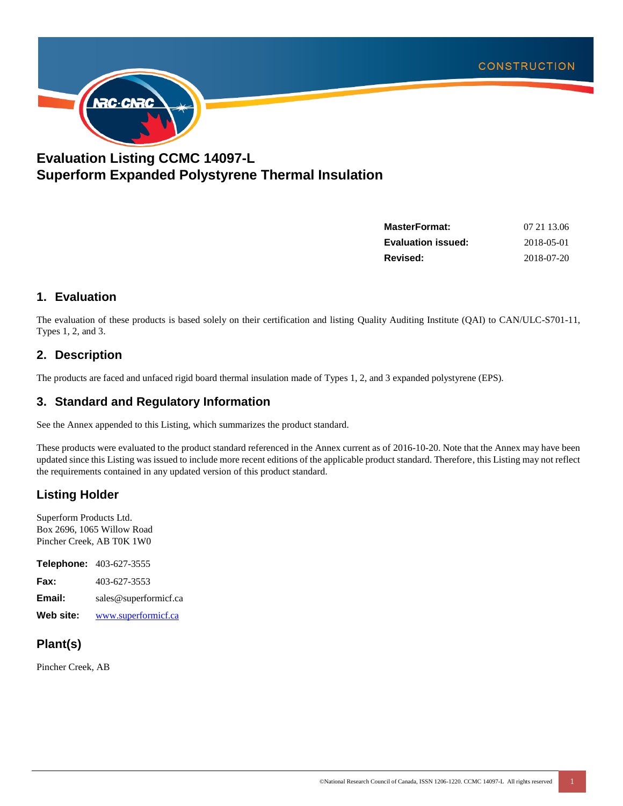

# **Evaluation Listing CCMC 14097-L Superform Expanded Polystyrene Thermal Insulation**

| <b>MasterFormat:</b>      | 07 21 13:06 |
|---------------------------|-------------|
| <b>Evaluation issued:</b> | 2018-05-01  |
| Revised:                  | 2018-07-20  |

### **1. Evaluation**

The evaluation of these products is based solely on their certification and listing Quality Auditing Institute (QAI) to CAN/ULC-S701-11, Types 1, 2, and 3.

#### **2. Description**

The products are faced and unfaced rigid board thermal insulation made of Types 1, 2, and 3 expanded polystyrene (EPS).

#### **3. Standard and Regulatory Information**

See the Annex appended to this Listing, which summarizes the product standard.

These products were evaluated to the product standard referenced in the Annex current as of 2016-10-20. Note that the Annex may have been updated since this Listing was issued to include more recent editions of the applicable product standard. Therefore, this Listing may not reflect the requirements contained in any updated version of this product standard.

# **Listing Holder**

Superform Products Ltd. Box 2696, 1065 Willow Road Pincher Creek, AB T0K 1W0

**Telephone:** 403-627-3555 **Fax:** 403-627-3553 **Email:** sales@superformicf.ca **Web site:** www.superformicf.ca

# **Plant(s)**

Pincher Creek, AB